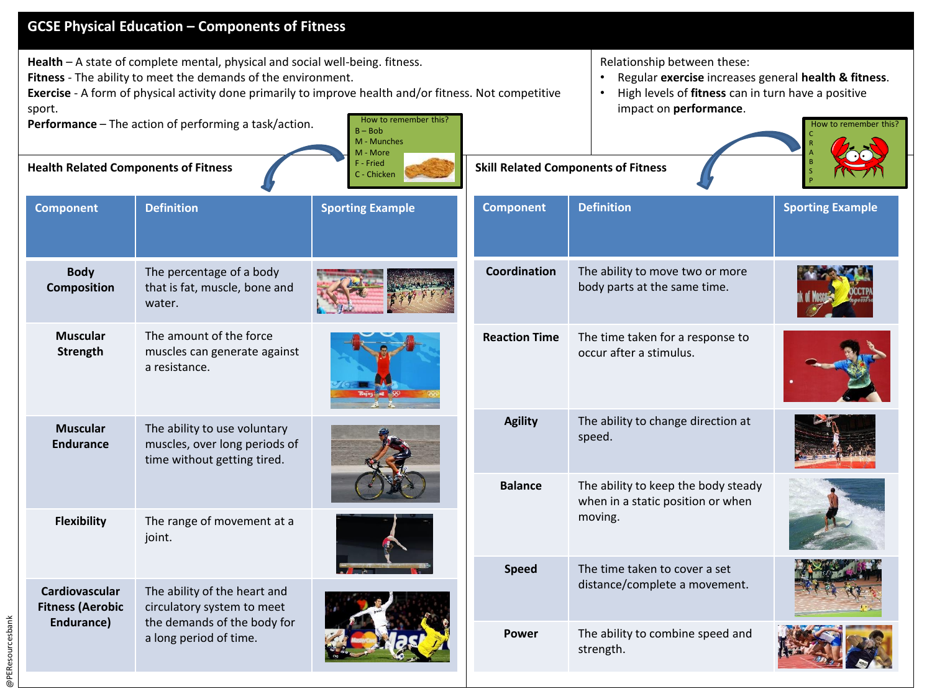| <b>GCSE Physical Education - Components of Fitness</b> |                                                                                                                                                                                                                                                                                                                    |                                                               |                                            |                                                                                                                                                                                                           |                         |  |
|--------------------------------------------------------|--------------------------------------------------------------------------------------------------------------------------------------------------------------------------------------------------------------------------------------------------------------------------------------------------------------------|---------------------------------------------------------------|--------------------------------------------|-----------------------------------------------------------------------------------------------------------------------------------------------------------------------------------------------------------|-------------------------|--|
| sport.                                                 | Health - A state of complete mental, physical and social well-being. fitness.<br>Fitness - The ability to meet the demands of the environment.<br>Exercise - A form of physical activity done primarily to improve health and/or fitness. Not competitive<br>Performance - The action of performing a task/action. | How to remember this?<br>$B - Bob$<br>M - Munches<br>M - More |                                            | Relationship between these:<br>Regular exercise increases general health & fitness.<br>High levels of fitness can in turn have a positive<br>$\bullet$<br>impact on performance.<br>How to remember this? |                         |  |
| <b>Health Related Components of Fitness</b>            |                                                                                                                                                                                                                                                                                                                    | F - Fried<br>C - Chicken                                      | <b>Skill Related Components of Fitness</b> |                                                                                                                                                                                                           |                         |  |
| <b>Component</b>                                       | <b>Definition</b>                                                                                                                                                                                                                                                                                                  | <b>Sporting Example</b>                                       | <b>Component</b>                           | <b>Definition</b>                                                                                                                                                                                         | <b>Sporting Example</b> |  |
| <b>Body</b><br><b>Composition</b>                      | The percentage of a body<br>that is fat, muscle, bone and<br>water.                                                                                                                                                                                                                                                |                                                               | Coordination                               | The ability to move two or more<br>body parts at the same time.                                                                                                                                           |                         |  |
| <b>Muscular</b><br>Strength                            | The amount of the force<br>muscles can generate against<br>a resistance.                                                                                                                                                                                                                                           |                                                               | <b>Reaction Time</b>                       | The time taken for a response to<br>occur after a stimulus.                                                                                                                                               |                         |  |
| <b>Muscular</b><br><b>Endurance</b>                    | The ability to use voluntary<br>muscles, over long periods of<br>time without getting tired.                                                                                                                                                                                                                       |                                                               | <b>Agility</b>                             | The ability to change direction at<br>speed.                                                                                                                                                              |                         |  |
|                                                        |                                                                                                                                                                                                                                                                                                                    |                                                               | <b>Balance</b>                             | The ability to keep the body steady<br>when in a static position or when                                                                                                                                  |                         |  |
| <b>Flexibility</b>                                     | The range of movement at a<br>joint.                                                                                                                                                                                                                                                                               |                                                               |                                            | moving.                                                                                                                                                                                                   |                         |  |
| <b>Cardiovascular</b><br><b>Fitness (Aerobic</b>       | The ability of the heart and<br>circulatory system to meet                                                                                                                                                                                                                                                         |                                                               | <b>Speed</b>                               | The time taken to cover a set<br>distance/complete a movement.                                                                                                                                            |                         |  |
| Endurance)                                             | the demands of the body for<br>a long period of time.                                                                                                                                                                                                                                                              |                                                               | Power                                      | The ability to combine speed and<br>strength.                                                                                                                                                             |                         |  |